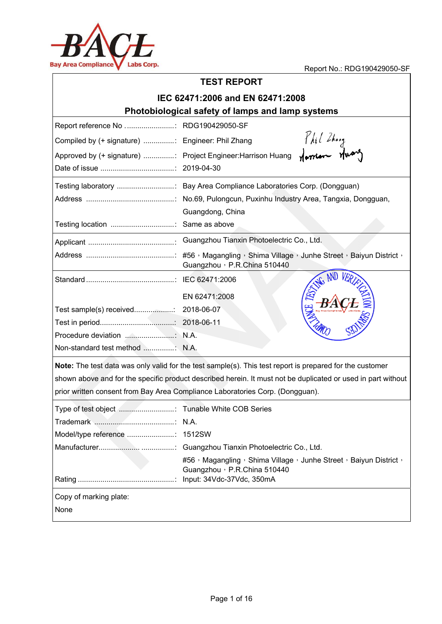

## Report No.: RDG190429050-SF **TEST REP PORT I EC 62471 :2006 and d EN 62471 1:2008 Photobiological safety of lamps and lamp systems** Report reference No ............................ RDG190429050-SF Phil Zhang<br>Norrion Huong Compiled by (+ signature) ................: Engineer: Phil Zhang Approved by (+ signature) ................: Project Engineer: Harrison Huang Date of issue .......... .................... ....... : 2019- -04-30 Testing laboratory .................................. Bay Area Compliance Laboratories Corp. (Dongguan) Address s ................. .................... ....... : No.69 9, Pulongcun n, Puxinhu In ndustry Area , Tangxia, D ongguan, Guangdong, China Testing location ..... .................... ....... : Same e as above Applican nt ................ .................... ....... : Guan ngzhou Tianxin Photoelectric Co., Ltd. Address s ................. .................... ....... : #56, Magangling g,Shima Vil lage,Junhe e Street,Ba aiyun District , Guangzhou, P.R.China 510440 Standar rd ................. .................... ....... : IEC 6 62471:2006 EN 62 2471:2008 Test sam mple(s) rece eived............. .......: 2018- -06-07 Test in p period.......... .................... .......: 2018- -06-11 Procedu ure deviation n ................. ....... : N.A. Non-standard test method .................. N.A. Note: The test data was only valid for the test sample(s). This test report is prepared for the customer shown above and for the specific product described herein. It must not be duplicated or used in part without prior written consent from Bay Area Compliance Laboratories Corp. (Dongguan). Type of f test object . .................... ....... : Tuna ble White CO OB Series Tradem mark ............. .................... ....... : N.A.

|                        | #56, Magangling, Shima Village, Junhe Street, Baiyun District,<br>Guangzhou , P.R.China 510440 |
|------------------------|------------------------------------------------------------------------------------------------|
| Copy of marking plate: |                                                                                                |
| None                   |                                                                                                |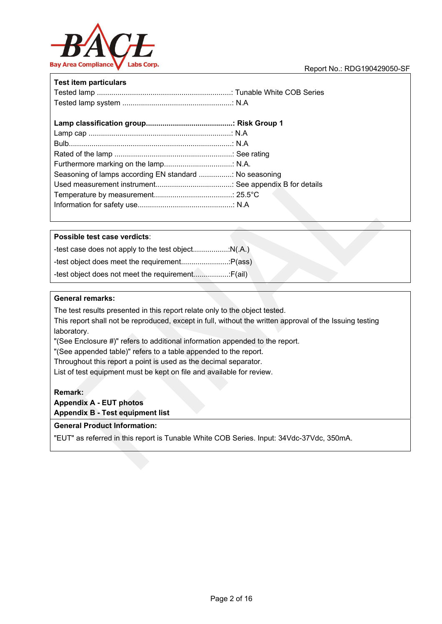

| <b>Test item particulars</b>                           |  |
|--------------------------------------------------------|--|
|                                                        |  |
|                                                        |  |
|                                                        |  |
|                                                        |  |
|                                                        |  |
|                                                        |  |
| Seasoning of lamps according EN standard  No seasoning |  |
|                                                        |  |
|                                                        |  |
|                                                        |  |

#### **Possible test case verdicts**:

#### **General remarks:**

The test results presented in this report relate only to the object tested. This report shall not be reproduced, except in full, without the written approval of the Issuing testing laboratory.

"(See Enclosure #)" refers to additional information appended to the report.

"(See appended table)" refers to a table appended to the report.

Throughout this report a point is used as the decimal separator.

List of test equipment must be kept on file and available for review.

**Remark:** 

**Appendix A - EUT photos Appendix B - Test equipment list** 

#### **General Product Information:**

"EUT" as referred in this report is Tunable White COB Series. Input: 34Vdc-37Vdc, 350mA.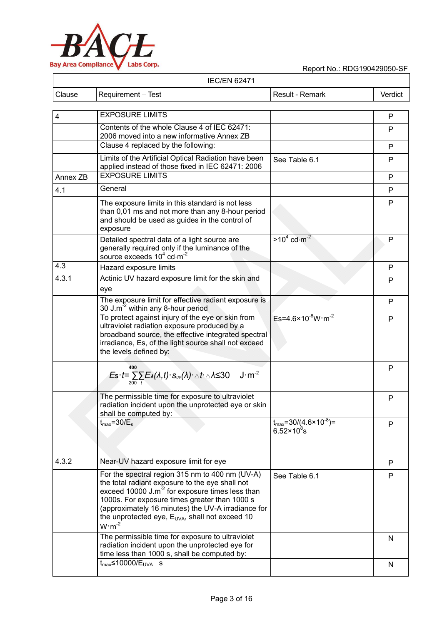

|               |                    | <b>IEC/EN 62471</b> |                 |         |
|---------------|--------------------|---------------------|-----------------|---------|
| <b>Clause</b> | Requirement – Test |                     | Result - Remark | Verdict |

| $\overline{4}$ | <b>EXPOSURE LIMITS</b>                                                                                                                                                                                                                                                                                                                               |                                                                      | P  |
|----------------|------------------------------------------------------------------------------------------------------------------------------------------------------------------------------------------------------------------------------------------------------------------------------------------------------------------------------------------------------|----------------------------------------------------------------------|----|
|                | Contents of the whole Clause 4 of IEC 62471:<br>2006 moved into a new informative Annex ZB                                                                                                                                                                                                                                                           |                                                                      | P  |
|                | Clause 4 replaced by the following:                                                                                                                                                                                                                                                                                                                  |                                                                      | P  |
|                | Limits of the Artificial Optical Radiation have been<br>applied instead of those fixed in IEC 62471: 2006                                                                                                                                                                                                                                            | See Table 6.1                                                        | P  |
| Annex ZB       | <b>EXPOSURE LIMITS</b>                                                                                                                                                                                                                                                                                                                               |                                                                      | P  |
| 4.1            | General                                                                                                                                                                                                                                                                                                                                              |                                                                      | P  |
|                | The exposure limits in this standard is not less<br>than 0,01 ms and not more than any 8-hour period<br>and should be used as guides in the control of<br>exposure                                                                                                                                                                                   |                                                                      | P  |
|                | Detailed spectral data of a light source are<br>generally required only if the luminance of the<br>source exceeds $10^4$ cd $\cdot$ m <sup>-2</sup>                                                                                                                                                                                                  | $>10^4$ cd $\cdot$ m <sup>-2</sup>                                   | P  |
| 4.3            | Hazard exposure limits                                                                                                                                                                                                                                                                                                                               |                                                                      | P  |
| 4.3.1          | Actinic UV hazard exposure limit for the skin and<br>eye                                                                                                                                                                                                                                                                                             |                                                                      | P  |
|                | The exposure limit for effective radiant exposure is<br>30 J.m <sup>-2</sup> within any 8-hour period                                                                                                                                                                                                                                                |                                                                      | P  |
|                | To protect against injury of the eye or skin from<br>ultraviolet radiation exposure produced by a<br>broadband source, the effective integrated spectral<br>irradiance, Es, of the light source shall not exceed<br>the levels defined by:                                                                                                           | $Es=4.6\times10^{-8} W \cdot m^{-2}$                                 | P  |
|                | 400<br>$J \cdot m^{-2}$<br>$E$ s· $t = \sum_{200} \sum_{t} E_{\lambda}(\lambda, t) \cdot S_{uv}(\lambda) \cdot \Delta t \cdot \Delta \Delta$ ≤30                                                                                                                                                                                                     |                                                                      | P  |
|                | The permissible time for exposure to ultraviolet<br>radiation incident upon the unprotected eye or skin<br>shall be computed by:                                                                                                                                                                                                                     |                                                                      | P  |
|                | $t_{\text{max}}$ =30/ $E_{\text{s}}$                                                                                                                                                                                                                                                                                                                 | $t_{\text{max}} = 30/(4.6 \times 10^{-8}) =$<br>$6.52 \times 10^8$ s | P  |
| 4.3.2          | Near-UV hazard exposure limit for eye                                                                                                                                                                                                                                                                                                                |                                                                      | P  |
|                | For the spectral region 315 nm to 400 nm (UV-A)<br>the total radiant exposure to the eye shall not<br>exceed 10000 J.m <sup>-2</sup> for exposure times less than<br>1000s. For exposure times greater than 1000 s<br>(approximately 16 minutes) the UV-A irradiance for<br>the unprotected eye, $E_{UVA}$ , shall not exceed 10<br>$W \cdot m^{-2}$ | See Table 6.1                                                        | P. |
|                | The permissible time for exposure to ultraviolet<br>radiation incident upon the unprotected eye for<br>time less than 1000 s, shall be computed by:                                                                                                                                                                                                  |                                                                      | N  |
|                | $t_{max}$ 410000/E <sub>UVA</sub> s                                                                                                                                                                                                                                                                                                                  |                                                                      | N  |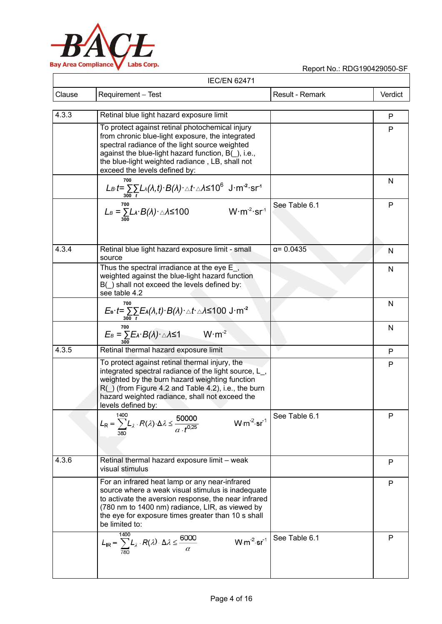

| <b>IEC/EN 62471</b> |                                                                                                                                                                                                                                                                                                 |                                                                 |              |
|---------------------|-------------------------------------------------------------------------------------------------------------------------------------------------------------------------------------------------------------------------------------------------------------------------------------------------|-----------------------------------------------------------------|--------------|
| Clause              | Requirement - Test                                                                                                                                                                                                                                                                              | Result - Remark                                                 | Verdict      |
| 4.3.3               | Retinal blue light hazard exposure limit                                                                                                                                                                                                                                                        |                                                                 | P            |
|                     | To protect against retinal photochemical injury<br>from chronic blue-light exposure, the integrated<br>spectral radiance of the light source weighted<br>against the blue-light hazard function, B(), i.e.,<br>the blue-light weighted radiance, LB, shall not<br>exceed the levels defined by: |                                                                 | P            |
|                     | 700<br>$L_B t = \sum L_A(\lambda, t) \cdot B(\lambda) \cdot \Delta t \cdot \Delta A \le 10^6 \text{ J} \cdot \text{m}^{-2} \cdot \text{sr}^{-1}$                                                                                                                                                |                                                                 | N            |
|                     | 700<br>$W \cdot m^{-2} \cdot sr^{-1}$<br>$L_B = \sum_{300} L_A \cdot B(A) \cdot \triangle A \le 100$                                                                                                                                                                                            | See Table 6.1                                                   | P            |
| 4.3.4               | Retinal blue light hazard exposure limit - small<br>source                                                                                                                                                                                                                                      | $\alpha = 0.0435$                                               | N            |
|                     | Thus the spectral irradiance at the eye $E_{-}$ ,<br>weighted against the blue-light hazard function<br>B() shall not exceed the levels defined by:<br>see table 4.2                                                                                                                            |                                                                 | N            |
|                     | 700<br>$E_{\rm B} \cdot t = \sum_{300} \sum_{t} E_{\lambda}(\lambda, t) \cdot B(\lambda) \cdot \Delta t \cdot \Delta \leq 100 \text{ J} \cdot \text{m}^{-2}$                                                                                                                                    |                                                                 | N            |
|                     | 700<br>$E_B = \sum E_A \cdot B(\lambda) \cdot \triangle A \le 1$ W·m <sup>-2</sup>                                                                                                                                                                                                              |                                                                 | $\mathsf{N}$ |
| 4.3.5               | Retinal thermal hazard exposure limit                                                                                                                                                                                                                                                           |                                                                 | P            |
|                     | To protect against retinal thermal injury, the<br>integrated spectral radiance of the light source, L_,<br>weighted by the burn hazard weighting function<br>$R()$ (from Figure 4.2 and Table 4.2), i.e., the burn<br>hazard weighted radiance, shall not exceed the<br>levels defined by:      |                                                                 | P            |
|                     | 1400<br>$L_{\mathsf{R}} = \sum_{n=2}^{1400} L_{\lambda} \cdot R(\lambda) \cdot \Delta \lambda \leq \frac{50000}{\alpha \cdot t^{0.25}}$<br>$W \cdot m^{-2} \cdot sr^{-1}$                                                                                                                       | See Table 6.1                                                   | P            |
| 4.3.6               | Retinal thermal hazard exposure limit - weak<br>visual stimulus                                                                                                                                                                                                                                 |                                                                 | P            |
|                     | For an infrared heat lamp or any near-infrared<br>source where a weak visual stimulus is inadequate<br>to activate the aversion response, the near infrared<br>(780 nm to 1400 nm) radiance, LIR, as viewed by<br>the eye for exposure times greater than 10 s shall<br>be limited to:          |                                                                 | P            |
|                     | 1400<br>$L_{\text{IR}} = \sum_{780} L_{\lambda} \cdot R(\lambda) \cdot \Delta \lambda \leq \frac{6000}{\alpha}$                                                                                                                                                                                 | W m <sup>-2</sup> sr <sup>-1</sup>   See Table $6.\overline{1}$ | P            |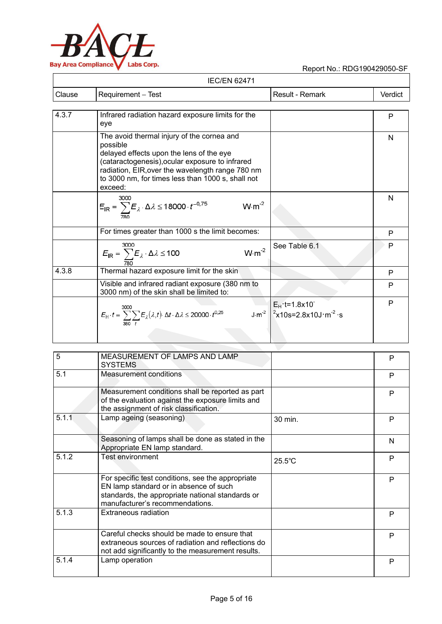

|        | <b>IEC/EN 62471</b>                                                                                                                                                                                                                                                       |                                                                                               |         |
|--------|---------------------------------------------------------------------------------------------------------------------------------------------------------------------------------------------------------------------------------------------------------------------------|-----------------------------------------------------------------------------------------------|---------|
| Clause | Requirement - Test                                                                                                                                                                                                                                                        | Result - Remark                                                                               | Verdict |
|        |                                                                                                                                                                                                                                                                           |                                                                                               |         |
| 4.3.7  | Infrared radiation hazard exposure limits for the<br>eye                                                                                                                                                                                                                  |                                                                                               | P       |
|        | The avoid thermal injury of the cornea and<br>possible<br>delayed effects upon the lens of the eye<br>(cataractogenesis), ocular exposure to infrared<br>radiation, EIR, over the wavelength range 780 nm<br>to 3000 nm, for times less than 1000 s, shall not<br>exceed: |                                                                                               | N       |
|        | 3000<br>$E_{IR} = \sum E_{\lambda} \cdot \Delta \lambda \le 18000 \cdot t^{-0.75}$<br>$W \cdot m^{-2}$                                                                                                                                                                    |                                                                                               | N       |
|        | For times greater than 1000 s the limit becomes:                                                                                                                                                                                                                          |                                                                                               | P       |
|        | 3000<br>$W \cdot m^{-2}$<br>$E_{IR} = \sum_{780} E_{\lambda} \cdot \Delta \lambda \le 100$                                                                                                                                                                                | See Table 6.1                                                                                 | P       |
| 4.3.8  | Thermal hazard exposure limit for the skin                                                                                                                                                                                                                                |                                                                                               | P       |
|        | Visible and infrared radiant exposure (380 nm to<br>3000 nm) of the skin shall be limited to:                                                                                                                                                                             |                                                                                               | P       |
|        | $E_H \cdot t = \sum_{n=2} \sum_i E_{\lambda}(\lambda, t) \cdot \Delta t \cdot \Delta \lambda \leq 20000 \cdot t^{0.25}$                                                                                                                                                   | $E_H$ t=1.8x10<br>$J \text{ m}^2$ $\frac{2 \times 10s}{2.8 \times 10J \text{ m}^2 \text{ s}}$ | P       |

| $\overline{5}$ | MEASUREMENT OF LAMPS AND LAMP<br><b>SYSTEMS</b>                                                                                                                                    |                  | P |
|----------------|------------------------------------------------------------------------------------------------------------------------------------------------------------------------------------|------------------|---|
| 5.1            | Measurement conditions                                                                                                                                                             |                  | P |
|                | Measurement conditions shall be reported as part<br>of the evaluation against the exposure limits and<br>the assignment of risk classification.                                    |                  | P |
| 5.1.1          | Lamp ageing (seasoning)                                                                                                                                                            | 30 min.          | P |
|                | Seasoning of lamps shall be done as stated in the<br>Appropriate EN lamp standard.                                                                                                 |                  | N |
| 5.1.2          | Test environment                                                                                                                                                                   | $25.5^{\circ}$ C | P |
|                | For specific test conditions, see the appropriate<br>EN lamp standard or in absence of such<br>standards, the appropriate national standards or<br>manufacturer's recommendations. |                  | P |
| 5.1.3          | <b>Extraneous radiation</b>                                                                                                                                                        |                  | P |
|                | Careful checks should be made to ensure that<br>extraneous sources of radiation and reflections do<br>not add significantly to the measurement results.                            |                  | P |
| 5.1.4          | Lamp operation                                                                                                                                                                     |                  | P |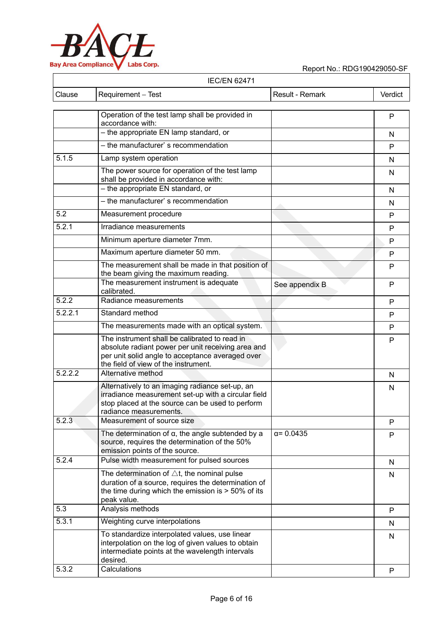

|         | <b>IEC/EN 62471</b>                                                                                                                                                                             |                   |         |
|---------|-------------------------------------------------------------------------------------------------------------------------------------------------------------------------------------------------|-------------------|---------|
| Clause  | Requirement - Test                                                                                                                                                                              | Result - Remark   | Verdict |
|         | Operation of the test lamp shall be provided in                                                                                                                                                 |                   |         |
|         | accordance with:                                                                                                                                                                                |                   | P       |
|         | - the appropriate EN lamp standard, or                                                                                                                                                          |                   | N       |
|         | - the manufacturer' s recommendation                                                                                                                                                            |                   | P       |
| 5.1.5   | Lamp system operation                                                                                                                                                                           |                   | N       |
|         | The power source for operation of the test lamp<br>shall be provided in accordance with:                                                                                                        |                   | N       |
|         | - the appropriate EN standard, or                                                                                                                                                               |                   | N       |
|         | - the manufacturer' s recommendation                                                                                                                                                            |                   | N       |
| 5.2     | Measurement procedure                                                                                                                                                                           |                   | P       |
| 5.2.1   | Irradiance measurements                                                                                                                                                                         |                   | P       |
|         | Minimum aperture diameter 7mm.                                                                                                                                                                  |                   | P       |
|         | Maximum aperture diameter 50 mm.                                                                                                                                                                |                   | P       |
|         | The measurement shall be made in that position of<br>the beam giving the maximum reading.                                                                                                       |                   | P       |
|         | The measurement instrument is adequate<br>calibrated.                                                                                                                                           | See appendix B    | P       |
| 5.2.2   | Radiance measurements                                                                                                                                                                           |                   | P       |
| 5.2.2.1 | Standard method                                                                                                                                                                                 |                   | P       |
|         | The measurements made with an optical system.                                                                                                                                                   |                   | P       |
|         | The instrument shall be calibrated to read in<br>absolute radiant power per unit receiving area and<br>per unit solid angle to acceptance averaged over<br>the field of view of the instrument. |                   | P       |
| 5.2.2.2 | Alternative method                                                                                                                                                                              |                   | N       |
|         | Alternatively to an imaging radiance set-up, an<br>irradiance measurement set-up with a circular field<br>stop placed at the source can be used to perform<br>radiance measurements.            |                   | N       |
| 5.2.3   | Measurement of source size                                                                                                                                                                      |                   | P       |
|         | The determination of $\alpha$ , the angle subtended by a<br>source, requires the determination of the 50%<br>emission points of the source.                                                     | $\alpha = 0.0435$ | P       |
| 5.2.4   | Pulse width measurement for pulsed sources                                                                                                                                                      |                   | N       |
|         | The determination of $\triangle t$ , the nominal pulse<br>duration of a source, requires the determination of<br>the time during which the emission is $>$ 50% of its<br>peak value.            |                   | N       |
| 5.3     | Analysis methods                                                                                                                                                                                |                   | P       |
| 5.3.1   | Weighting curve interpolations                                                                                                                                                                  |                   | N       |
|         | To standardize interpolated values, use linear<br>interpolation on the log of given values to obtain<br>intermediate points at the wavelength intervals<br>desired.                             |                   | N       |
| 5.3.2   | Calculations                                                                                                                                                                                    |                   | P       |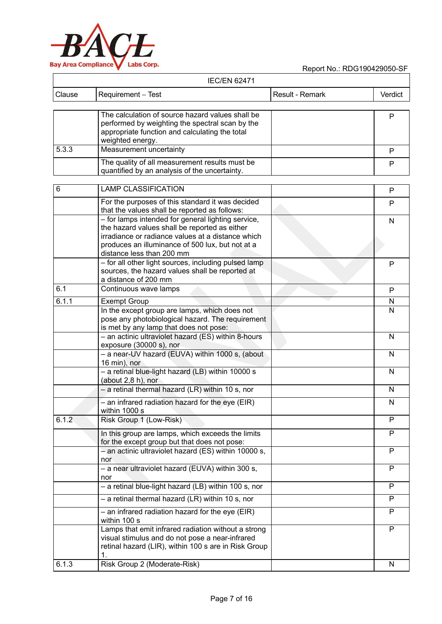

| <b>IEC/EN 62471</b> |                                                                                                                                                                                                                                           |                 |         |
|---------------------|-------------------------------------------------------------------------------------------------------------------------------------------------------------------------------------------------------------------------------------------|-----------------|---------|
| Clause              | Requirement - Test                                                                                                                                                                                                                        | Result - Remark | Verdict |
|                     | The calculation of source hazard values shall be<br>performed by weighting the spectral scan by the<br>appropriate function and calculating the total<br>weighted energy.                                                                 |                 | P       |
| 5.3.3               | Measurement uncertainty                                                                                                                                                                                                                   |                 | P       |
|                     | The quality of all measurement results must be<br>quantified by an analysis of the uncertainty.                                                                                                                                           |                 | P       |
| 6                   | <b>LAMP CLASSIFICATION</b>                                                                                                                                                                                                                |                 | P       |
|                     | For the purposes of this standard it was decided<br>that the values shall be reported as follows:                                                                                                                                         |                 | P       |
|                     | - for lamps intended for general lighting service,<br>the hazard values shall be reported as either<br>irradiance or radiance values at a distance which<br>produces an illuminance of 500 lux, but not at a<br>distance less than 200 mm |                 | N       |
|                     | - for all other light sources, including pulsed lamp<br>sources, the hazard values shall be reported at<br>a distance of 200 mm                                                                                                           |                 | P       |
| 6.1                 | Continuous wave lamps                                                                                                                                                                                                                     |                 | P       |
| 6.1.1               | <b>Exempt Group</b>                                                                                                                                                                                                                       |                 | N       |
|                     | In the except group are lamps, which does not<br>pose any photobiological hazard. The requirement<br>is met by any lamp that does not pose:                                                                                               |                 | N       |
|                     | - an actinic ultraviolet hazard (ES) within 8-hours<br>exposure (30000 s), nor                                                                                                                                                            |                 | N       |
|                     | - a near-UV hazard (EUVA) within 1000 s, (about<br>16 min), nor                                                                                                                                                                           |                 | N       |
|                     | - a retinal blue-light hazard (LB) within 10000 s<br>(about $2,8$ h), nor                                                                                                                                                                 |                 | N       |
|                     | $-$ a retinal thermal hazard (LR) within 10 s, nor                                                                                                                                                                                        |                 | N       |
|                     | $-$ an infrared radiation hazard for the eye (EIR)<br>within 1000 s                                                                                                                                                                       |                 | N       |
| 6.1.2               | Risk Group 1 (Low-Risk)                                                                                                                                                                                                                   |                 | P       |
|                     | In this group are lamps, which exceeds the limits<br>for the except group but that does not pose:                                                                                                                                         |                 | P       |
|                     | - an actinic ultraviolet hazard (ES) within 10000 s,<br>nor                                                                                                                                                                               |                 | P       |
|                     | - a near ultraviolet hazard (EUVA) within 300 s,<br>nor                                                                                                                                                                                   |                 | P       |
|                     | - a retinal blue-light hazard (LB) within 100 s, nor                                                                                                                                                                                      |                 | P       |
|                     | $-$ a retinal thermal hazard (LR) within 10 s, nor                                                                                                                                                                                        |                 | P       |
|                     | - an infrared radiation hazard for the eye (EIR)<br>within 100 s                                                                                                                                                                          |                 | P       |
|                     | Lamps that emit infrared radiation without a strong<br>visual stimulus and do not pose a near-infrared<br>retinal hazard (LIR), within 100 s are in Risk Group<br>1.                                                                      |                 | P       |
| 6.1.3               | Risk Group 2 (Moderate-Risk)                                                                                                                                                                                                              |                 | N       |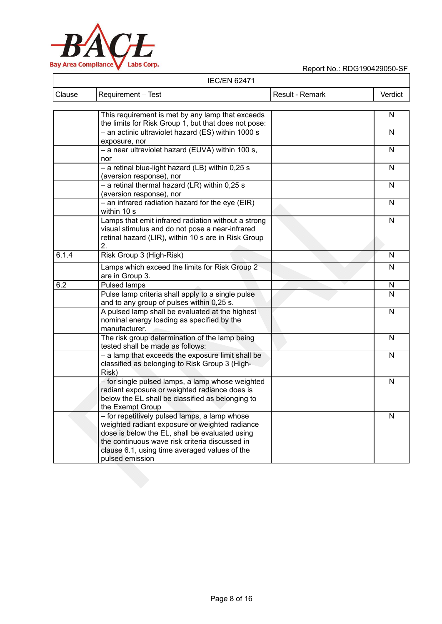

|               | <b>IEC/EN 62471</b> |                 |         |
|---------------|---------------------|-----------------|---------|
| <b>Clause</b> | Requirement – Test  | Result - Remark | Verdict |

|       | This requirement is met by any lamp that exceeds<br>the limits for Risk Group 1, but that does not pose:                                                                                                                                                                | N              |
|-------|-------------------------------------------------------------------------------------------------------------------------------------------------------------------------------------------------------------------------------------------------------------------------|----------------|
|       | - an actinic ultraviolet hazard (ES) within 1000 s<br>exposure, nor                                                                                                                                                                                                     | N              |
|       | - a near ultraviolet hazard (EUVA) within 100 s,<br>nor                                                                                                                                                                                                                 | $\mathsf{N}$   |
|       | - a retinal blue-light hazard (LB) within 0,25 s                                                                                                                                                                                                                        | $\mathsf{N}$   |
|       | (aversion response), nor<br>$-$ a retinal thermal hazard (LR) within 0,25 s                                                                                                                                                                                             | $\mathsf{N}$   |
|       | (aversion response), nor<br>$-$ an infrared radiation hazard for the eye (EIR)<br>within 10 s                                                                                                                                                                           | $\overline{N}$ |
|       | Lamps that emit infrared radiation without a strong<br>visual stimulus and do not pose a near-infrared<br>retinal hazard (LIR), within 10 s are in Risk Group<br>2.                                                                                                     | N              |
| 6.1.4 | Risk Group 3 (High-Risk)                                                                                                                                                                                                                                                | N              |
|       | Lamps which exceed the limits for Risk Group 2<br>are in Group 3.                                                                                                                                                                                                       | $\mathsf{N}$   |
| 6.2   | <b>Pulsed lamps</b>                                                                                                                                                                                                                                                     | N              |
|       | Pulse lamp criteria shall apply to a single pulse<br>and to any group of pulses within 0,25 s.                                                                                                                                                                          | $\overline{N}$ |
|       | A pulsed lamp shall be evaluated at the highest<br>nominal energy loading as specified by the<br>manufacturer.                                                                                                                                                          | N              |
|       | The risk group determination of the lamp being<br>tested shall be made as follows:                                                                                                                                                                                      | $\mathsf{N}$   |
|       | - a lamp that exceeds the exposure limit shall be<br>classified as belonging to Risk Group 3 (High-<br>Risk)                                                                                                                                                            | $\mathsf{N}$   |
|       | - for single pulsed lamps, a lamp whose weighted<br>radiant exposure or weighted radiance does is<br>below the EL shall be classified as belonging to<br>the Exempt Group                                                                                               | N              |
|       | - for repetitively pulsed lamps, a lamp whose<br>weighted radiant exposure or weighted radiance<br>dose is below the EL, shall be evaluated using<br>the continuous wave risk criteria discussed in<br>clause 6.1, using time averaged values of the<br>pulsed emission | N              |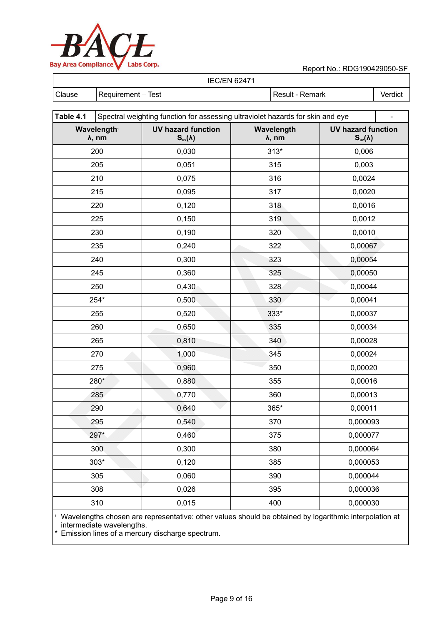

Report No.: RDG190429050-SF

| <b>IEC/EN 62471</b> |                    |  |                 |         |  |  |
|---------------------|--------------------|--|-----------------|---------|--|--|
| <b>Clause</b>       | Requirement – Test |  | Result - Remark | Verdict |  |  |

| Spectral weighting function for assessing ultraviolet hazards for skin and eye |                                                |                     |                                                |  |  |
|--------------------------------------------------------------------------------|------------------------------------------------|---------------------|------------------------------------------------|--|--|
| Wavelength <sup>®</sup><br>λ, nm                                               | <b>UV hazard function</b><br>$S_{uv}(\lambda)$ | Wavelength<br>λ, nm | <b>UV hazard function</b><br>$S_{uv}(\lambda)$ |  |  |
| 200                                                                            | 0,030                                          | $313*$              | 0,006                                          |  |  |
| 205                                                                            | 0,051                                          | 315                 | 0,003                                          |  |  |
| 210                                                                            | 0,075                                          | 316                 | 0,0024                                         |  |  |
| 215                                                                            | 0,095                                          | 317                 | 0,0020                                         |  |  |
| 220                                                                            | 0,120                                          | 318                 | 0,0016                                         |  |  |
| 225                                                                            | 0,150                                          | 319                 | 0,0012                                         |  |  |
| 230                                                                            | 0,190                                          | 320                 | 0,0010                                         |  |  |
| 235                                                                            | 0,240                                          | 322                 | 0,00067                                        |  |  |
| 240                                                                            | 0,300                                          | 323                 | 0,00054                                        |  |  |
| 245                                                                            | 0,360                                          | 325                 | 0,00050                                        |  |  |
| 250                                                                            | 0,430                                          | 328                 | 0,00044                                        |  |  |
| 254*                                                                           | 0,500                                          | 330                 | 0,00041                                        |  |  |
| 255                                                                            | 0,520                                          | 333*                | 0,00037                                        |  |  |
| 260                                                                            | 0,650                                          | 335                 | 0,00034                                        |  |  |
| 265                                                                            | 0,810                                          | 340                 | 0,00028                                        |  |  |
| 270                                                                            | 1,000                                          | 345                 | 0,00024                                        |  |  |
| 275                                                                            | 0,960                                          | 350                 | 0,00020                                        |  |  |
| 280*                                                                           | 0,880                                          | 355                 | 0,00016                                        |  |  |
| 285                                                                            | 0,770                                          | 360                 | 0,00013                                        |  |  |
| 290                                                                            | 0,640                                          | 365*                | 0,00011                                        |  |  |
| 295                                                                            | 0,540                                          | 370                 | 0,000093                                       |  |  |
| 297*                                                                           | 0,460                                          | 375                 | 0,000077                                       |  |  |
| 300                                                                            | 0,300                                          | 380                 | 0,000064                                       |  |  |
| $303*$                                                                         | 0,120                                          | 385                 | 0,000053                                       |  |  |
| 305                                                                            | 0,060                                          | 390                 | 0,000044                                       |  |  |
| 308                                                                            | 0,026                                          | 395                 | 0,000036                                       |  |  |
| 310                                                                            | 0,015                                          | 400                 | 0,000030                                       |  |  |
|                                                                                |                                                |                     |                                                |  |  |

1 Wavelengths chosen are representative: other values should be obtained by logarithmic interpolation at intermediate wavelengths.

\* Emission lines of a mercury discharge spectrum.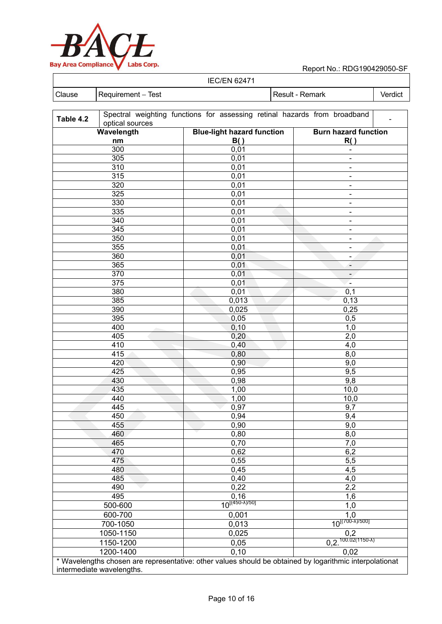

 $\overline{\phantom{a}}$ 

## Report No.: RDG190429050-SF

#### IEC/EN 62471

| ILVLIY UZ <del>T</del> I |          |  |  |  |  |  |  |
|--------------------------|----------|--|--|--|--|--|--|
| $\cap$ lause             | ēst<br>- |  |  |  |  |  |  |
|                          |          |  |  |  |  |  |  |

| Table 4.2 | optical sources           | Spectral weighting functions for assessing retinal hazards from broadband                               |                                              |
|-----------|---------------------------|---------------------------------------------------------------------------------------------------------|----------------------------------------------|
|           | Wavelength                | <b>Blue-light hazard function</b>                                                                       | <b>Burn hazard function</b>                  |
| nm        |                           | B()                                                                                                     | R()                                          |
|           | 300                       | 0,01                                                                                                    | $\qquad \qquad \blacksquare$                 |
|           | 305                       | 0,01                                                                                                    |                                              |
| 310       |                           | 0,01                                                                                                    | $\blacksquare$                               |
|           | 315                       |                                                                                                         | $\blacksquare$                               |
|           | 320                       | 0,01                                                                                                    | $\blacksquare$                               |
|           | 325                       | 0,01                                                                                                    | $\blacksquare$                               |
|           | 330                       | 0,01                                                                                                    | $\blacksquare$                               |
|           |                           | 0,01                                                                                                    | $\blacksquare$                               |
|           | 335                       | 0,01                                                                                                    | $\blacksquare$                               |
|           | 340                       | 0,01                                                                                                    | $\blacksquare$                               |
|           | 345                       | 0,01                                                                                                    | $\blacksquare$                               |
|           | 350                       | 0,01                                                                                                    | $\blacksquare$                               |
|           | 355                       | 0,01                                                                                                    | $\blacksquare$                               |
|           | 360                       | 0,01                                                                                                    | -                                            |
|           | 365                       | 0,01                                                                                                    | $\overline{\phantom{a}}$                     |
|           | 370                       | 0,01                                                                                                    | $\overline{\phantom{a}}$                     |
|           | 375                       | 0,01                                                                                                    | $\blacksquare$                               |
|           | 380                       | 0,01                                                                                                    | 0,1                                          |
|           | 385                       | 0,013                                                                                                   | 0,13                                         |
|           | 390                       | 0,025                                                                                                   | 0,25                                         |
|           | 395                       | 0,05                                                                                                    | 0,5                                          |
|           | 400                       | 0, 10                                                                                                   | 1,0                                          |
|           | 405                       | 0,20                                                                                                    | 2,0                                          |
|           | 410                       | 0,40                                                                                                    | 4,0                                          |
|           | 415                       | 0,80                                                                                                    | 8,0                                          |
|           | 420                       | 0,90                                                                                                    | 9,0                                          |
|           | 425                       | 0,95                                                                                                    | 9,5                                          |
|           | 430                       | 0,98                                                                                                    | 9,8                                          |
|           | 435                       | 1,00                                                                                                    | 10,0                                         |
|           | 440                       | 1,00                                                                                                    | 10,0                                         |
|           | 445                       | 0,97                                                                                                    | 9,7                                          |
|           | 450                       | 0,94                                                                                                    | 9,4                                          |
|           | 455                       | 0,90                                                                                                    | 9,0                                          |
|           | 460                       | 0,80                                                                                                    | 8,0                                          |
|           | 465                       | 0,70                                                                                                    | 7,0                                          |
|           | 470                       | 0,62                                                                                                    | 6,2                                          |
|           | 475                       | 0,55                                                                                                    | 5,5                                          |
|           | 480                       | 0,45                                                                                                    | 4,5                                          |
|           | 485                       | 0,40                                                                                                    | 4,0                                          |
|           | 490                       | 0,22                                                                                                    | 2,2                                          |
|           | 495                       | 0, 16                                                                                                   | 1,6                                          |
|           | 500-600                   | $10^{[(450-\lambda)/50]}$                                                                               | 1,0                                          |
|           |                           |                                                                                                         | 1,0                                          |
| 600-700   |                           | 0,001                                                                                                   | $10^{[(700 - \lambda)/500]}$                 |
| 700-1050  |                           | 0,013                                                                                                   |                                              |
|           | 1050-1150                 | 0,025                                                                                                   | 0,2<br>$0,2.\overline{100.02(1150-\lambda)}$ |
|           | 1150-1200                 | 0,05                                                                                                    |                                              |
|           | 1200-1400                 | 0, 10                                                                                                   | 0,02                                         |
|           | intermediate wavelengths. | * Wavelengths chosen are representative: other values should be obtained by logarithmic interpolationat |                                              |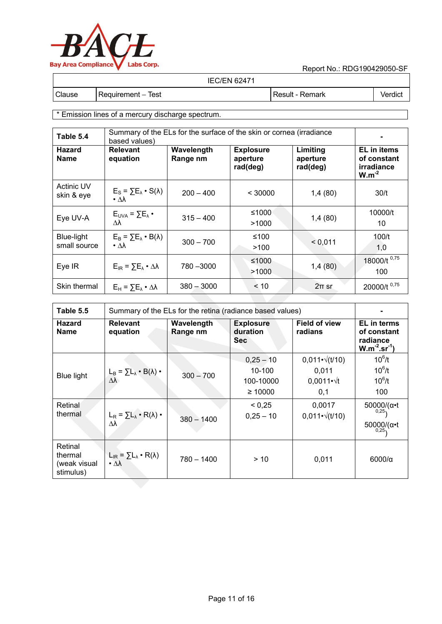

| <b>IEC/EN 62471</b> |  |
|---------------------|--|
|---------------------|--|

Clause Requirement – Test Result - Result - Remark Verdict

\* Emission lines of a mercury discharge spectrum.

| Table 5.4                       | Summary of the ELs for the surface of the skin or cornea (irradiance<br>based values) |              |                                          |                                  |                                                               |
|---------------------------------|---------------------------------------------------------------------------------------|--------------|------------------------------------------|----------------------------------|---------------------------------------------------------------|
| <b>Hazard</b><br><b>Name</b>    | <b>Relevant</b><br>Wavelength<br>Range nm<br>equation                                 |              | <b>Explosure</b><br>aperture<br>rad(deg) | Limiting<br>aperture<br>rad(deg) | <b>EL</b> in items<br>of constant<br>irradiance<br>$W.m^{-2}$ |
| <b>Actinic UV</b><br>skin & eye | $E_{\rm S}$ = $\sum E_{\lambda}$ · S( $\lambda$ )<br>$\cdot$ $\Delta\lambda$          | $200 - 400$  | < 30000                                  | 1,4(80)                          | 30/t                                                          |
| Eye UV-A                        | $E_{UVA} = \sum E_{\lambda}$ •<br>Δλ                                                  | $315 - 400$  | ≤1000<br>>1000                           | 1,4(80)                          | 10000/t<br>10                                                 |
| Blue-light<br>small source      | $E_B = \sum E_{\lambda} \cdot B(\lambda)$<br>$\cdot$ $\Delta\lambda$                  | $300 - 700$  | ≤100<br>>100                             | < 0.011                          | 100/t<br>1,0                                                  |
| Eye IR                          | $E_{IR} = \sum E_{\lambda} \cdot \Delta \lambda$                                      | 780 - 3000   | ≤1000<br>>1000                           | 1,4(80)                          | 18000/t <sup>0,75</sup><br>100                                |
| Skin thermal                    | $E_H = \sum E_{\lambda} \cdot \Delta \lambda$                                         | $380 - 3000$ | < 10                                     | $2\pi$ sr                        | 20000/t <sup>0,75</sup>                                       |
|                                 |                                                                                       |              |                                          |                                  |                                                               |

| Table 5.5                                       | Summary of the ELs for the retina (radiance based values)             |                        |                                                        |                                                                        |                                                                       |  |
|-------------------------------------------------|-----------------------------------------------------------------------|------------------------|--------------------------------------------------------|------------------------------------------------------------------------|-----------------------------------------------------------------------|--|
| <b>Hazard</b><br><b>Name</b>                    | <b>Relevant</b><br>equation                                           | Wavelength<br>Range nm | <b>Explosure</b><br>duration<br><b>Sec</b>             | <b>Field of view</b><br>radians                                        | <b>EL</b> in terms<br>of constant<br>radiance<br>$W.m^{-2}.sr^{-1}$   |  |
| <b>Blue light</b>                               | $L_{B} = \sum L_{\lambda} \cdot B(\lambda) \cdot$<br>$\Delta\lambda$  | $300 - 700$            | $0,25 - 10$<br>$10 - 100$<br>100-10000<br>$\geq 10000$ | $0,011 \cdot \sqrt{(t/10)}$<br>0,011<br>$0.0011 \cdot \sqrt{t}$<br>0,1 | $10^6/t$<br>$10^6/t$<br>$10^6/t$<br>100                               |  |
| Retinal<br>thermal                              | $L_R = \sum L_{\lambda} \cdot R(\lambda)$ .<br>Δλ                     | $380 - 1400$           | < 0.25<br>$0,25 - 10$                                  | 0,0017<br>$0,011 \cdot \sqrt{(t/10)}$                                  | $50000/(\alpha \cdot t)$<br>0,25,<br>$50000/(\alpha \cdot t)$<br>0,25 |  |
| Retinal<br>thermal<br>(weak visual<br>stimulus) | $L_{IR} = \sum L_{\lambda} \cdot R(\lambda)$<br>$\cdot \Delta\lambda$ | $780 - 1400$           | > 10                                                   | 0,011                                                                  | 6000/a                                                                |  |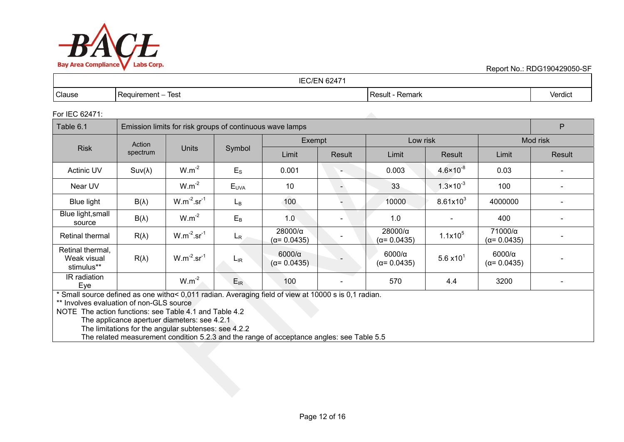

Report No.: RDG190429050-SF

| /EN 62471<br>$\triangle$ if<br>IEC/ |                                      |                      |                     |  |  |
|-------------------------------------|--------------------------------------|----------------------|---------------------|--|--|
| Clause                              | <b>Test</b><br>Requirement<br>$\sim$ | · Remark<br>Result - | $\cdots$<br>Verdict |  |  |

#### For IEC 62471:

| Table 6.1                                     | Emission limits for risk groups of continuous wave lamps |                    |             |                                       |                |                                       |                              |                                      | P                        |
|-----------------------------------------------|----------------------------------------------------------|--------------------|-------------|---------------------------------------|----------------|---------------------------------------|------------------------------|--------------------------------------|--------------------------|
|                                               | Action                                                   |                    |             | Exempt                                |                | Low risk                              |                              |                                      | Mod risk                 |
| <b>Risk</b>                                   | spectrum                                                 | <b>Units</b>       | Symbol      | Limit                                 | Result         | Limit                                 | Result                       | Limit                                | Result                   |
| <b>Actinic UV</b>                             | $Suv(\lambda)$                                           | $W.m^{-2}$         | $E_{\rm S}$ | 0.001                                 | $\overline{a}$ | 0.003                                 | $4.6 \times 10^{-8}$         | 0.03                                 |                          |
| Near UV                                       |                                                          | $W.m^{-2}$         | $E_{UVA}$   | 10                                    |                | 33                                    | $1.3 \times 10^{-3}$         | 100                                  | $\overline{\phantom{a}}$ |
| <b>Blue light</b>                             | $B(\lambda)$                                             | $W.m^{-2}.sr^{-1}$ | $L_{B}$     | 100                                   |                | 10000                                 | $8.61x10^3$                  | 4000000                              | $\overline{\phantom{a}}$ |
| Blue light, small<br>source                   | $B(\lambda)$                                             | $W.m^{-2}$         | $E_B$       | 1.0                                   |                | 1.0                                   |                              | 400                                  | $\overline{\phantom{a}}$ |
| <b>Retinal thermal</b>                        | $R(\lambda)$                                             | $W.m^{-2}.sr^{-1}$ | $L_{R}$     | $28000/\alpha$<br>$(\alpha = 0.0435)$ |                | $28000/\alpha$<br>$(\alpha = 0.0435)$ | $1.1x10^5$                   | 71000/α<br>$(\alpha = 0.0435)$       |                          |
| Retinal thermal,<br>Weak visual<br>stimulus** | $R(\lambda)$                                             | $W.m^{-2}.sr^{-1}$ | $L_{IR}$    | $6000/\alpha$<br>$(\alpha = 0.0435)$  |                | $6000/\alpha$<br>$(\alpha = 0.0435)$  | 5.6 $\times$ 10 <sup>1</sup> | $6000/\alpha$<br>$(\alpha = 0.0435)$ |                          |
| IR radiation<br>Eye                           |                                                          | $W.m^{-2}$         | $E_{IR}$    | 100                                   |                | 570                                   | 4.4                          | 3200                                 |                          |

\* Small source defined as one withα< 0,011 radian. Averaging field of view at 10000 s is 0,1 radian.

\*\* Involves evaluation of non-GLS source

NOTE The action functions: see Table 4.1 and Table 4.2

The applicance apertuer diameters: see 4.2.1

The limitations for the angular subtenses: see 4.2.2

The related measurement condition 5.2.3 and the range of acceptance angles: see Table 5.5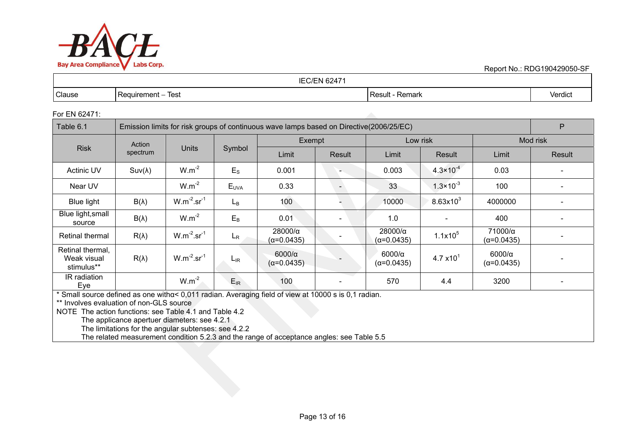

Report No.: RDG190429050-SF

| 16247'<br>$\triangle$ if<br>∗N⊦ |                                |                    |         |  |  |
|---------------------------------|--------------------------------|--------------------|---------|--|--|
| Clause                          | <b>Test</b><br>  Requirement – | Result -<br>Remark | Verdict |  |  |

#### For EN 62471:

| Table 6.1                                     | Emission limits for risk groups of continuous wave lamps based on Directive(2006/25/EC) |                    |             |                                       |        |                                      |                              |                                       | P                        |
|-----------------------------------------------|-----------------------------------------------------------------------------------------|--------------------|-------------|---------------------------------------|--------|--------------------------------------|------------------------------|---------------------------------------|--------------------------|
|                                               | Action                                                                                  |                    |             | Exempt                                |        | Low risk                             |                              | Mod risk                              |                          |
| <b>Risk</b>                                   | spectrum                                                                                | Units              | Symbol      | Limit                                 | Result | Limit                                | Result                       | Limit                                 | Result                   |
| Actinic UV                                    | $Suv(\lambda)$                                                                          | $W.m^{-2}$         | $E_{\rm S}$ | 0.001                                 |        | 0.003                                | $4.3 \times 10^{-4}$         | 0.03                                  |                          |
| Near UV                                       |                                                                                         | $W.m^{-2}$         | $E_{UVA}$   | 0.33                                  |        | 33                                   | $1.3 \times 10^{-3}$         | 100                                   |                          |
| Blue light                                    | $B(\lambda)$                                                                            | $W.m^{-2}.sr^{-1}$ | $L_{B}$     | 100                                   |        | 10000                                | $8.63x10^{3}$                | 4000000                               | $\overline{\phantom{a}}$ |
| Blue light, small<br>source                   | $B(\lambda)$                                                                            | $W.m^{-2}$         | $E_B$       | 0.01                                  |        | 1.0                                  | $\overline{\phantom{a}}$     | 400                                   | $\overline{\phantom{a}}$ |
| Retinal thermal                               | $R(\lambda)$                                                                            | $W.m^{-2}.sr^{-1}$ | $L_{R}$     | $28000/\alpha$<br>$(\alpha = 0.0435)$ |        | $28000/\alpha$<br>(α=0.0435)         | $1.1x10^5$                   | $71000/\alpha$<br>$(\alpha = 0.0435)$ |                          |
| Retinal thermal,<br>Weak visual<br>stimulus** | $R(\lambda)$                                                                            | $W.m^{-2}.sr^{-1}$ | $L_{IR}$    | $6000/\alpha$<br>$(\alpha = 0.0435)$  |        | $6000/\alpha$<br>$(\alpha = 0.0435)$ | 4.7 $\times$ 10 <sup>1</sup> | $6000/\alpha$<br>$(\alpha = 0.0435)$  |                          |
| IR radiation<br>Eye                           |                                                                                         | $W.m^{-2}$         | $E_{IR}$    | 100                                   |        | 570                                  | 4.4                          | 3200                                  | $\overline{\phantom{0}}$ |

\* Small source defined as one withα< 0,011 radian. Averaging field of view at 10000 s is 0,1 radian.

\*\* Involves evaluation of non-GLS source

NOTE The action functions: see Table 4.1 and Table 4.2

The applicance apertuer diameters: see 4.2.1

The limitations for the angular subtenses: see 4.2.2

The related measurement condition 5.2.3 and the range of acceptance angles: see Table 5.5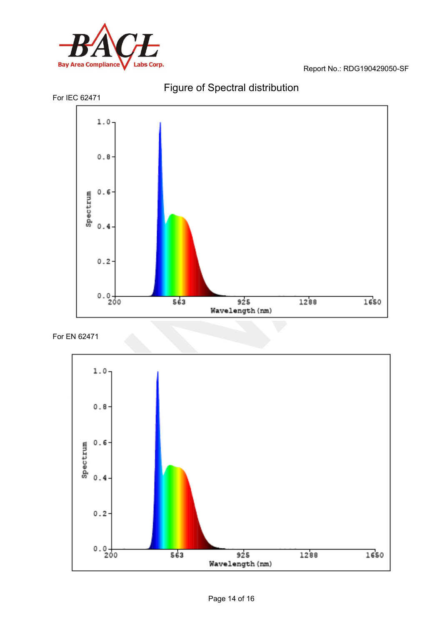





## For EN 62471

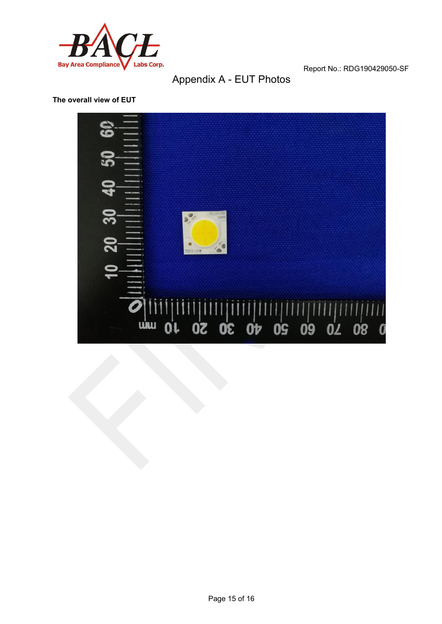

## Appendix A - EUT Photos

#### **The overall view of EUT**